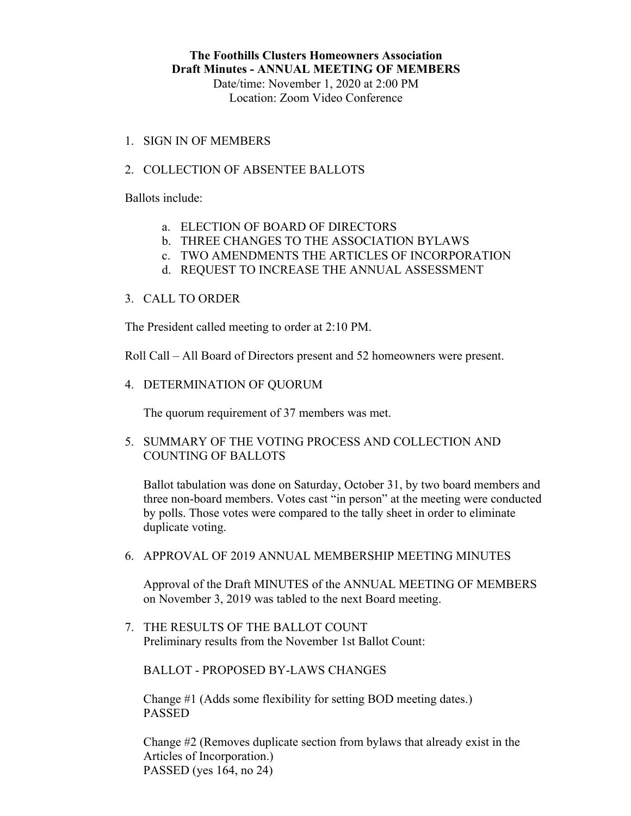Date/time: November 1, 2020 at 2:00 PM Location: Zoom Video Conference

1. SIGN IN OF MEMBERS

## 2. COLLECTION OF ABSENTEE BALLOTS

Ballots include:

- a. ELECTION OF BOARD OF DIRECTORS
- b. THREE CHANGES TO THE ASSOCIATION BYLAWS
- c. TWO AMENDMENTS THE ARTICLES OF INCORPORATION
- d. REQUEST TO INCREASE THE ANNUAL ASSESSMENT

## 3. CALL TO ORDER

The President called meeting to order at 2:10 PM.

Roll Call – All Board of Directors present and 52 homeowners were present.

4. DETERMINATION OF QUORUM

The quorum requirement of 37 members was met.

5. SUMMARY OF THE VOTING PROCESS AND COLLECTION AND COUNTING OF BALLOTS

Ballot tabulation was done on Saturday, October 31, by two board members and three non-board members. Votes cast "in person" at the meeting were conducted by polls. Those votes were compared to the tally sheet in order to eliminate duplicate voting.

6. APPROVAL OF 2019 ANNUAL MEMBERSHIP MEETING MINUTES

Approval of the Draft MINUTES of the ANNUAL MEETING OF MEMBERS on November 3, 2019 was tabled to the next Board meeting.

7. THE RESULTS OF THE BALLOT COUNT Preliminary results from the November 1st Ballot Count:

BALLOT - PROPOSED BY-LAWS CHANGES

Change #1 (Adds some flexibility for setting BOD meeting dates.) PASSED

Change #2 (Removes duplicate section from bylaws that already exist in the Articles of Incorporation.) PASSED (yes 164, no 24)